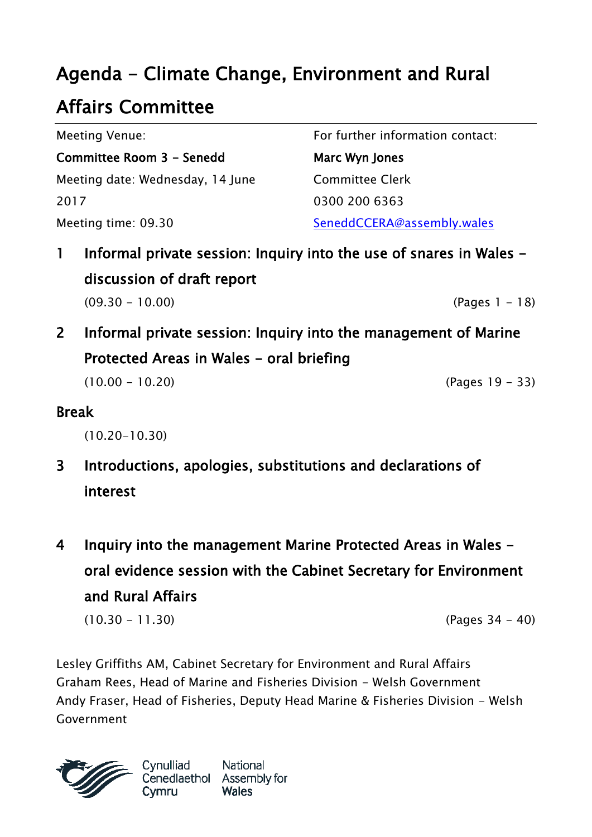# Agenda - Climate Change, Environment and Rural

### Affairs Committee

| Meeting Venue:<br>Committee Room 3 - Senedd | For further information contact:<br>Marc Wyn Jones |
|---------------------------------------------|----------------------------------------------------|
|                                             |                                                    |
| 2017                                        | 0300 200 6363                                      |
| Meeting time: 09.30                         | SeneddCCERA@assembly.wales                         |

- 1 Informal private session: Inquiry into the use of snares in Wales discussion of draft report (09.30 - 10.00) (Pages 1 - 18)
- 2 Informal private session: Inquiry into the management of Marine Protected Areas in Wales - oral briefing

 $(10.00 - 10.20)$  (Pages 19 - 33)

### Break

(10.20-10.30)

- 3 Introductions, apologies, substitutions and declarations of interest
- 4 Inquiry into the management Marine Protected Areas in Wales oral evidence session with the Cabinet Secretary for Environment and Rural Affairs

(10.30 - 11.30) (Pages 34 - 40)

Lesley Griffiths AM, Cabinet Secretary for Environment and Rural Affairs Graham Rees, Head of Marine and Fisheries Division - Welsh Government Andy Fraser, Head of Fisheries, Deputy Head Marine & Fisheries Division - Welsh Government



Cynulliad Cymru

National Cenedlaethol Assembly for **Wales**